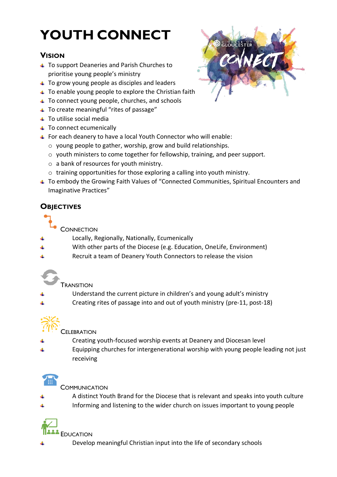## **YOUTH CONNECT**

## **VISION**

- To support Deaneries and Parish Churches to prioritise young people's ministry
- $\overline{\phantom{a}}$  To grow young people as disciples and leaders
- $\overline{+}$  To enable young people to explore the Christian faith
- $\ddotmark$  To connect young people, churches, and schools
- To create meaningful "rites of passage"
- $\overline{\phantom{a}}$  To utilise social media
- $\overline{\phantom{a}}$  To connect ecumenically
- For each deanery to have a local Youth Connector who will enable:
	- o young people to gather, worship, grow and build relationships.
	- o youth ministers to come together for fellowship, training, and peer support.
	- o a bank of resources for youth ministry.
	- o training opportunities for those exploring a calling into youth ministry.
- To embody the Growing Faith Values of "Connected Communities, Spiritual Encounters and Imaginative Practices"

## **OBJECTIVES**

**CONNECTION** 

- Locally, Regionally, Nationally, Ecumenically
- With other parts of the Diocese (e.g. Education, OneLife, Environment)
- Recruit a team of Deanery Youth Connectors to release the vision
	- **TRANSITION**
- Understand the current picture in children's and young adult's ministry
- Creating rites of passage into and out of youth ministry (pre-11, post-18)



**CELEBRATION** 

- Creating youth-focused worship events at Deanery and Diocesan level
- Equipping churches for intergenerational worship with young people leading not just receiving



**COMMUNICATION** 

- A distinct Youth Brand for the Diocese that is relevant and speaks into youth culture
- Informing and listening to the wider church on issues important to young people



**EDUCATION** 

Develop meaningful Christian input into the life of secondary schools